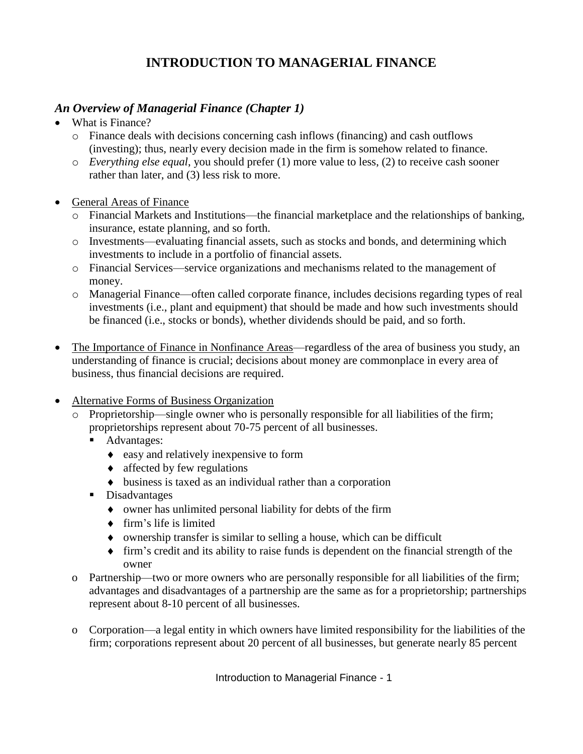## **INTRODUCTION TO MANAGERIAL FINANCE**

## *An Overview of Managerial Finance (Chapter 1)*

- What is Finance?
	- o Finance deals with decisions concerning cash inflows (financing) and cash outflows (investing); thus, nearly every decision made in the firm is somehow related to finance.
	- o *Everything else equal*, you should prefer (1) more value to less, (2) to receive cash sooner rather than later, and (3) less risk to more.
- General Areas of Finance
	- o Financial Markets and Institutions—the financial marketplace and the relationships of banking, insurance, estate planning, and so forth.
	- o Investments—evaluating financial assets, such as stocks and bonds, and determining which investments to include in a portfolio of financial assets.
	- o Financial Services—service organizations and mechanisms related to the management of money.
	- o Managerial Finance—often called corporate finance, includes decisions regarding types of real investments (i.e., plant and equipment) that should be made and how such investments should be financed (i.e., stocks or bonds), whether dividends should be paid, and so forth.
- The Importance of Finance in Nonfinance Areas—regardless of the area of business you study, an understanding of finance is crucial; decisions about money are commonplace in every area of business, thus financial decisions are required.
- Alternative Forms of Business Organization
	- o Proprietorship—single owner who is personally responsible for all liabilities of the firm; proprietorships represent about 70-75 percent of all businesses.
		- Advantages:
			- easy and relatively inexpensive to form
			- $\triangleleft$  affected by few regulations
			- business is taxed as an individual rather than a corporation
		- **Disadvantages** 
			- owner has unlimited personal liability for debts of the firm
			- $\triangleleft$  firm's life is limited
			- ownership transfer is similar to selling a house, which can be difficult
			- firm's credit and its ability to raise funds is dependent on the financial strength of the owner
	- o Partnership—two or more owners who are personally responsible for all liabilities of the firm; advantages and disadvantages of a partnership are the same as for a proprietorship; partnerships represent about 8-10 percent of all businesses.
	- o Corporation—a legal entity in which owners have limited responsibility for the liabilities of the firm; corporations represent about 20 percent of all businesses, but generate nearly 85 percent

Introduction to Managerial Finance - 1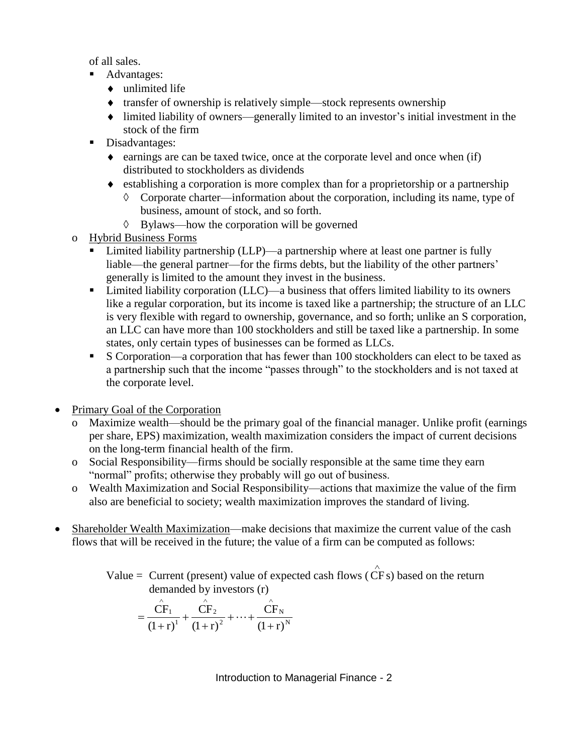of all sales.

- Advantages:
	- $\bullet$  unlimited life
	- $\bullet$  transfer of ownership is relatively simple—stock represents ownership
	- limited liability of owners—generally limited to an investor's initial investment in the stock of the firm
- Disadvantages:
	- $\bullet$  earnings are can be taxed twice, once at the corporate level and once when (if) distributed to stockholders as dividends
	- establishing a corporation is more complex than for a proprietorship or a partnership
		- $\Diamond$  Corporate charter—information about the corporation, including its name, type of business, amount of stock, and so forth.
		- $\Diamond$  Bylaws—how the corporation will be governed
- o Hybrid Business Forms
	- Limited liability partnership (LLP)—a partnership where at least one partner is fully liable—the general partner—for the firms debts, but the liability of the other partners' generally is limited to the amount they invest in the business.
	- Limited liability corporation (LLC)—a business that offers limited liability to its owners like a regular corporation, but its income is taxed like a partnership; the structure of an LLC is very flexible with regard to ownership, governance, and so forth; unlike an S corporation, an LLC can have more than 100 stockholders and still be taxed like a partnership. In some states, only certain types of businesses can be formed as LLCs.
	- S Corporation—a corporation that has fewer than 100 stockholders can elect to be taxed as a partnership such that the income "passes through" to the stockholders and is not taxed at the corporate level.
- Primary Goal of the Corporation
	- o Maximize wealth—should be the primary goal of the financial manager. Unlike profit (earnings per share, EPS) maximization, wealth maximization considers the impact of current decisions on the long-term financial health of the firm.
	- o Social Responsibility—firms should be socially responsible at the same time they earn "normal" profits; otherwise they probably will go out of business.
	- o Wealth Maximization and Social Responsibility—actions that maximize the value of the firm also are beneficial to society; wealth maximization improves the standard of living.
- Shareholder Wealth Maximization—make decisions that maximize the current value of the cash flows that will be received in the future; the value of a firm can be computed as follows:
	- Value = Current (present) value of expected cash flows (  $\wedge$ CF s) based on the return demanded by investors (r)

$$
= \frac{\hat{CF}_1}{(1+r)^1} + \frac{\hat{CF}_2}{(1+r)^2} + \dots + \frac{\hat{CF}_N}{(1+r)^N}
$$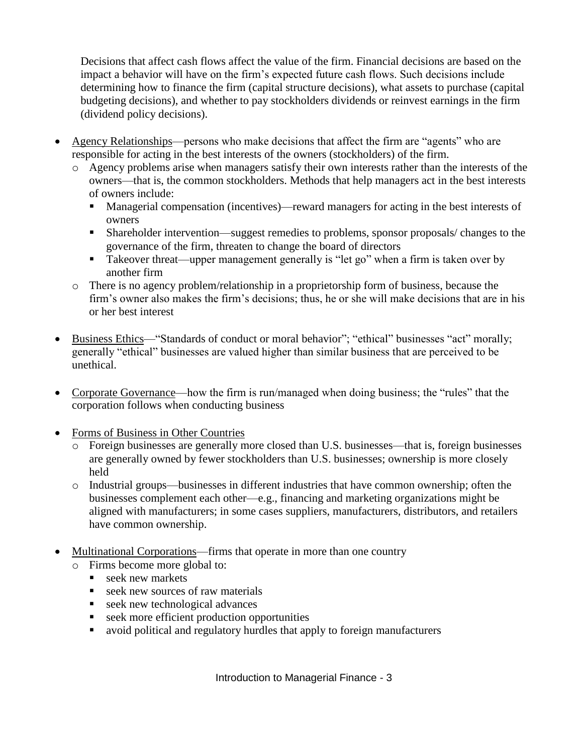Decisions that affect cash flows affect the value of the firm. Financial decisions are based on the impact a behavior will have on the firm's expected future cash flows. Such decisions include determining how to finance the firm (capital structure decisions), what assets to purchase (capital budgeting decisions), and whether to pay stockholders dividends or reinvest earnings in the firm (dividend policy decisions).

- Agency Relationships—persons who make decisions that affect the firm are "agents" who are responsible for acting in the best interests of the owners (stockholders) of the firm.
	- o Agency problems arise when managers satisfy their own interests rather than the interests of the owners—that is, the common stockholders. Methods that help managers act in the best interests of owners include:
		- Managerial compensation (incentives)—reward managers for acting in the best interests of owners
		- Shareholder intervention—suggest remedies to problems, sponsor proposals/ changes to the governance of the firm, threaten to change the board of directors
		- Takeover threat—upper management generally is "let go" when a firm is taken over by another firm
	- o There is no agency problem/relationship in a proprietorship form of business, because the firm's owner also makes the firm's decisions; thus, he or she will make decisions that are in his or her best interest
- Business Ethics—"Standards of conduct or moral behavior"; "ethical" businesses "act" morally; generally "ethical" businesses are valued higher than similar business that are perceived to be unethical.
- Corporate Governance—how the firm is run/managed when doing business; the "rules" that the corporation follows when conducting business
- Forms of Business in Other Countries
	- o Foreign businesses are generally more closed than U.S. businesses—that is, foreign businesses are generally owned by fewer stockholders than U.S. businesses; ownership is more closely held
	- o Industrial groups—businesses in different industries that have common ownership; often the businesses complement each other—e.g., financing and marketing organizations might be aligned with manufacturers; in some cases suppliers, manufacturers, distributors, and retailers have common ownership.
- Multinational Corporations—firms that operate in more than one country
	- o Firms become more global to:
		- seek new markets
		- Seek new sources of raw materials<br>
		seek new technological advances
		- seek new technological advances
		- seek more efficient production opportunities
		- avoid political and regulatory hurdles that apply to foreign manufacturers

Introduction to Managerial Finance - 3